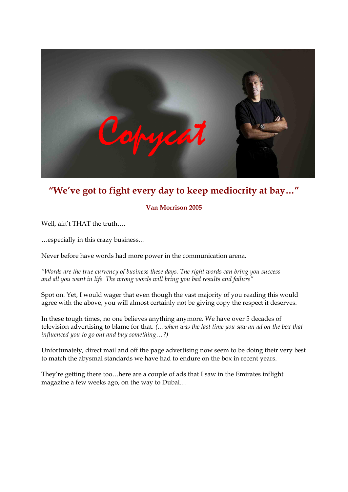

# **"We've got to fight every day to keep mediocrity at bay…"**

## **Van Morrison 2005**

Well, ain't THAT the truth….

…especially in this crazy business… Never before have words had more power in the communication arena.

*"Words are the true currency of business these days. The right words can bring you success and all you want in life. The wrong words will bring you bad results and failure"*

Spot on. Yet, I would wager that even though the vast majority of you reading this would agree with the above, you will almost certainly not be giving copy the respect it deserves.

In these tough times, no one believes anything anymore. We have over 5 decades of television advertising to blame for that. *(…when was the last time you saw an ad on the box that influenced you to go out and buy something…?)*

Unfortunately, direct mail and off the page advertising now seem to be doing their very best to match the abysmal standards we have had to endure on the box in recent years.

They're getting there too…here are a couple of ads that I saw in the Emirates inflight magazine a few weeks ago, on the way to Dubai…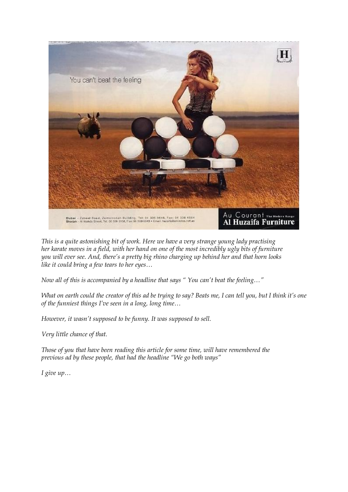

*This is a quite astonishing bit of work. Here we have a very strange young lady practising her karate moves in a field, with her hand on one of the most incredibly ugly bits of furniture you will ever see. And, there's a pretty big rhino charging up behind her and that horn looks like it could bring a few tears to her eyes… Now all of this is accompanied by a headline that says " You can't beat the feeling…"* 

*What on earth could the creator of this ad be trying to say? Beats me, I can tell you, but I think it's one of the funniest things I've seen in a long, long time…* 

*However, it wasn't supposed to be funny. It was supposed to sell.*

*Very little chance of that.*

*Those of you that have been reading this article for some time, will have remembered the previous ad by these people, that had the headline "We go both ways"* 

*I give up…*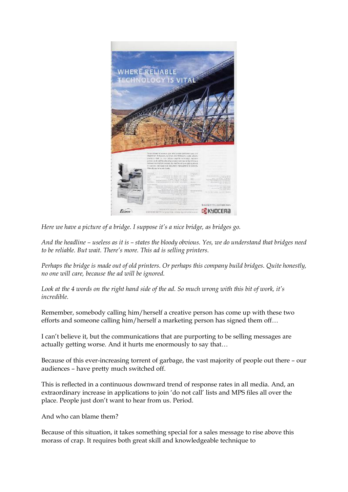

*Here we have a picture of a bridge. I suppose it's a nice bridge, as bridges go.*

*And the headline – useless as it is – states the bloody obvious. Yes, we do understand that bridges need to be reliable. But wait. There's more. This ad is selling printers.*

*Perhaps the bridge is made out of old printers. Or perhaps this company build bridges. Quite honestly, no one will care, because the ad will be ignored.*

*Look at the 4 words on the right hand side of the ad. So much wrong with this bit of work, it's incredible.*

Remember, somebody calling him/herself a creative person has come up with these two efforts and someone calling him/herself a marketing person has signed them off…

I can't believe it, but the communications that are purporting to be selling messages are actually getting worse. And it hurts me enormously to say that…

Because of this ever-increasing torrent of garbage, the vast majority of people out there - our audiences – have pretty much switched off.

This is reflected in a continuous downward trend of response rates in all media. And, an extraordinary increase in applications to join 'do not call' lists and MPS files all over the place. People just don't want to hear from us. Period.

And who can blame them?

Because of this situation, it takes something special for a sales message to rise above this morass of crap. It requires both great skill and knowledgeable technique to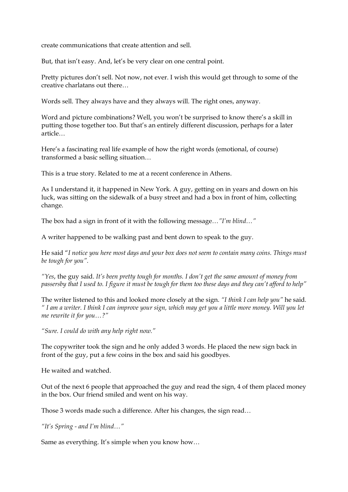create communications that create attention and sell.

But, that isn't easy. And, let's be very clear on one central point.

Pretty pictures don't sell. Not now, not ever. I wish this would get through to some of the creative charlatans out there…

Words sell. They always have and they always will. The right ones, anyway.

Word and picture combinations? Well, you won't be surprised to know there's a skill in putting those together too. But that's an entirely different discussion, perhaps for a later article…

Here's a fascinating real life example of how the right words (emotional, of course) transformed a basic selling situation…

This is a true story. Related to me at a recent conference in Athens.

As I understand it, it happened in New York. A guy, getting on in years and down on his luck, was sitting on the sidewalk of a busy street and had a box in front of him, collecting change.

The box had a sign in front of it with the following message*…"I'm blind…"*

A writer happened to be walking past and bent down to speak to the guy.

He said "*I notice you here most days and your box does not seem to contain many coins. Things must be tough for you".*

*"Yes*, the guy said. *It's been pretty tough for months. I don't get the same amount of money from passersby that I used to. I figure it must be tough for them too these days and they can't afford to help"*

The writer listened to this and looked more closely at the sign. *"I think I can help you"* he said*. " I am a writer. I think I can improve your sign, which may get you a little more money. Will you let me rewrite it for you…?"* 

*"Sure. I could do with any help right now."*

The copywriter took the sign and he only added 3 words. He placed the new sign back in front of the guy, put a few coins in the box and said his goodbyes.

He waited and watched.

Out of the next 6 people that approached the guy and read the sign, 4 of them placed money in the box. Our friend smiled and went on his way.

Those 3 words made such a difference. After his changes, the sign read…

*"It's Spring and I'm blind…"*

Same as everything. It's simple when you know how…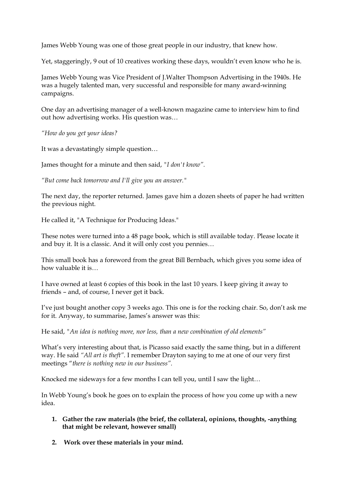James Webb Young was one of those great people in our industry, that knew how.

Yet, staggeringly, 9 out of 10 creatives working these days, wouldn't even know who he is.

James Webb Young was Vice President of J.Walter Thompson Advertising in the 1940s. He was a hugely talented man, very successful and responsible for many award-winning campaigns.

One day an advertising manager of a well-known magazine came to interview him to find out how advertising works. His question was…

*"How do you get your ideas?*

It was a devastatingly simple question…

James thought for a minute and then said, *"I don't know".* 

*"But come back tomorrow and I'll give you an answer."*

The next day, the reporter returned. James gave him a dozen sheets of paper he had written the previous night.

He called it, "A Technique for Producing Ideas."

These notes were turned into a 48 page book, which is still available today. Please locate it and buy it. It is a classic. And it will only cost you pennies…

This small book has a foreword from the great Bill Bernbach, which gives you some idea of how valuable it is…

I have owned at least 6 copies of this book in the last 10 years. I keep giving it away to friends – and, of course, I never get it back*.*

I've just bought another copy 3 weeks ago. This one is for the rocking chair. So, don't ask me for it. Anyway, to summarise, James's answer was this:

He said, *"An idea is nothing more, nor less, than a new combination of old elements"*

What's very interesting about that, is Picasso said exactly the same thing, but in a different way. He said *"All art is theft".* I remember Drayton saying to me at one of our very first meetings "*there is nothing new in our business".*

Knocked me sideways for a few months I can tell you, until I saw the light…

In Webb Young's book he goes on to explain the process of how you come up with a new idea.

- **1. Gather the raw materials (the brief, the collateral, opinions, thoughts, anything that might be relevant, however small)**
- **2. Work over these materials in your mind.**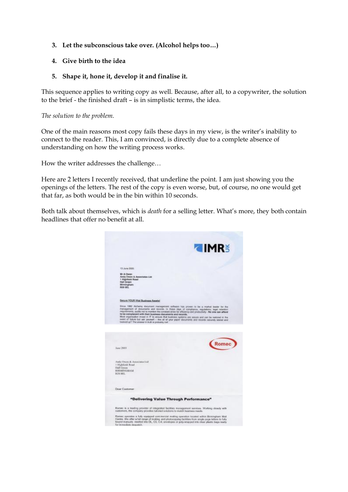### **3. Let the subconscious take over. (Alcohol helps too…)**

### **4. Give birth to the idea**

#### **5. Shape it, hone it, develop it and finalise it.**

This sequence applies to writing copy as well. Because, after all, to a copywriter, the solution to the brief - the finished draft – is in simplistic terms, the idea.

*The solution to the problem.*

One of the main reasons most copy fails these days in my view, is the writer's inability to connect to the reader. This, I am convinced, is directly due to a complete absence of understanding on how the writing process works.

How the writer addresses the challenge…

Here are 2 letters I recently received, that underline the point. I am just showing you the openings of the letters. The rest of the copy is even worse, but, of course, no one would get that far, as both would be in the bin within 10 seconds.

Both talk about themselves, which is *death* for a selling letter. What's more, they both contain headlines that offer no benefit at all.

|                                                                                                                       | <b>TIMRS</b>                                                                                                                                                                                                                                                                                                                                                                                                                                                                                                                  |
|-----------------------------------------------------------------------------------------------------------------------|-------------------------------------------------------------------------------------------------------------------------------------------------------------------------------------------------------------------------------------------------------------------------------------------------------------------------------------------------------------------------------------------------------------------------------------------------------------------------------------------------------------------------------|
| 13 June 2005                                                                                                          |                                                                                                                                                                                                                                                                                                                                                                                                                                                                                                                               |
| Mr A Owen:<br>Andy Owen & Associates Ltd.<br>1 Highheld Road<br>Highl Groom<br><b>Bismingham</b><br><b>ROW OFFICE</b> |                                                                                                                                                                                                                                                                                                                                                                                                                                                                                                                               |
| Secure YOUR Vital Business Associal                                                                                   |                                                                                                                                                                                                                                                                                                                                                                                                                                                                                                                               |
| to be completed with their business documents and records.<br>bisolood up? The answer in truth is probably rail!      | Since 1992 Alcherry document management software has proven to be a market leader for the<br>management of sbourseria and records. In these days of compliance, regulations, legal retention<br>requirements, audits not to reversion the constant strive for efficiency and productivity - No one can afford<br>Most organisation invest in IT to answer that bankress systems are secure and can be restored in the<br>event of failure but ask yourself -- Ans all of your paper documents and records securely stoned and |
|                                                                                                                       |                                                                                                                                                                                                                                                                                                                                                                                                                                                                                                                               |
| June 2004                                                                                                             | Romec                                                                                                                                                                                                                                                                                                                                                                                                                                                                                                                         |
|                                                                                                                       |                                                                                                                                                                                                                                                                                                                                                                                                                                                                                                                               |
| Andy Owen & Associates Ltd.<br>1 Highfield Road<br><b>Hall Green</b><br>BERMINGHAM<br><b>IS28 OFF.</b>                |                                                                                                                                                                                                                                                                                                                                                                                                                                                                                                                               |
| Dear Customer                                                                                                         |                                                                                                                                                                                                                                                                                                                                                                                                                                                                                                                               |
|                                                                                                                       |                                                                                                                                                                                                                                                                                                                                                                                                                                                                                                                               |
|                                                                                                                       | "Delivering Value Through Performance"                                                                                                                                                                                                                                                                                                                                                                                                                                                                                        |
|                                                                                                                       | Romeo is a leading provider of integrated facilities management services. Working closely with<br>customers, the company provides tailored solutions to match business needs.                                                                                                                                                                                                                                                                                                                                                 |
| for in readiate despetor.                                                                                             | Romes operates a fully equipped contrestcial mailing operation located within Berengham Mail<br>Contro: We offer a full tenge of maling and photocopying facilities from single page letters to fully<br>bound reanuals reested into DL, CS, C-4, envolopes or poly-wrapped into clear plastic bags ready                                                                                                                                                                                                                     |